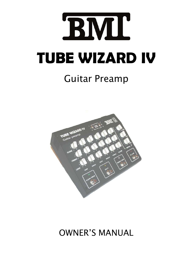

# Guitar Preamp



## OWNER'S MANUAL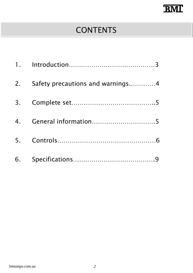## **BMI**

### **CONTENTS**

| 2. | Safety precautions and warnings4 |
|----|----------------------------------|
| 3. |                                  |
|    |                                  |
|    |                                  |
|    |                                  |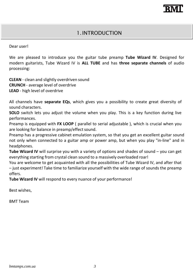### 1. INTRODUCTION

#### Dear user!

We are pleased to introduce you the guitar tube preamp **Tube Wizard IV**. Designed for modern guitarists, Tube Wizard IV is **ALL TUBE** and has **three separate channels** of audio processing:

**CLEAN** ‐ clean and slightly overdriven sound **CRUNCH** ‐ average level of overdrive **LEAD** ‐ high level of overdrive

All channels have **separate EQs**, which gives you a possibility to create great diversity of sound characters.

**SOLO** switch lets you adjust the volume when you play. This is a key function during live performances.

Preamp is equipped with **FX LOOP** ( parallel to serial adjustable ), which is crucial when you are looking for balance in preamp/effect sound.

Preamp has a progressive cabinet emulation system, so that you get an excellent guitar sound not only when connected to a guitar amp or power amp, but when you play "in‐line" and in headphones.

**Tube Wizard IV** will surprise you with a variety of options and shades of sound – you can get everything starting from crystal clean sound to a massively overloaded roar!

You are welcome to get acquainted with all the possibilities of Tube Wizard IV, and after that – just experiment! Take time to familiarize yourself with the wide range of sounds the preamp offers.

**Tube Wizard IV** will respond to every nuance of your performance!

Best wishes,

BMT Team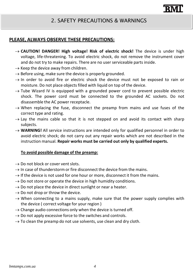#### **PLEASE, ALWAYS OBSERVE THESE PRECAUTIONS:**

- **CAUTION! DANGER! High voltage! Risk of electric shock!** The device is under high voltage, life‐threatening. To avoid electric shock, do not remove the instrument cover and do not try to make repairs. There are no user serviceable parts inside.
- $\rightarrow$  Keep the device away from children.
- $\rightarrow$  Before using, make sure the device is properly grounded.
- $\rightarrow$  In order to avoid fire or electric shock the device must not be exposed to rain or moisture. Do not place objects filled with liquid on top of the device.
- $\rightarrow$  Tube Wizard IV is equipped with a grounded power cord to prevent possible electric shock. The power cord must be connected to the grounded AC sockets. Do not disassemble the AC power receptacle.
- $\rightarrow$  When replacing the fuse, disconnect the preamp from mains and use fuses of the correct type and rating.
- $\rightarrow$  Lay the mains cable so that it is not stepped on and avoid its contact with sharp subjects.
- → **WARNING!** All service instructions are intended only for qualified personnel in order to avoid electric shock; do not carry out any repair works which are not described in the instruction manual. **Repair works must be carried out only by qualified experts.**

#### **To avoid possible damage of the preamp:**

- $\rightarrow$  Do not block or cover vent slots.
- $\rightarrow$  In case of thunderstorm or fire disconnect the device from the mains.
- $\rightarrow$  If the device is not used for one hour or more, disconnect it from the mains.
- $\rightarrow$  Do not store or operate the device in high humidity conditions.
- $\rightarrow$  Do not place the device in direct sunlight or near a heater.
- $\rightarrow$  Do not drop or throw the device.
- $\rightarrow$  When connecting to a mains supply, make sure that the power supply complies with the device ( correct voltage for your region )
- $\rightarrow$  Change audio connections only when the device is turned off.
- $\rightarrow$  Do not apply excessive force to the switches and controls.
- $\rightarrow$  To clean the preamp do not use solvents, use clean and dry cloth.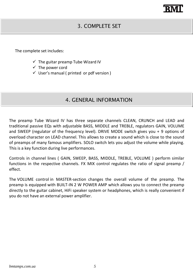## 'RN

### 3. COMPLETE SET

The complete set includes:

- $\checkmark$  The guitar preamp Tube Wizard IV
- $\checkmark$  The power cord
- $\checkmark$  User's manual ( printed or pdf version )

#### 4. GENERAL INFORMATION

The preamp Tube Wizard IV has three separate channels CLEAN, CRUNCH and LEAD and traditional passive EQs with adjustable BASS, MIDDLE and TREBLE, regulators GAIN, VOLUME and SWEEP (regulator of the frequency level). DRIVE MODE switch gives you + 9 options of overload character on LEAD channel. This allows to create a sound which is close to the sound of preamps of many famous amplifiers. SOLO switch lets you adjust the volume while playing. This is a key function during live performances.

Controls in channel lines ( GAIN, SWEEP, BASS, MIDDLE, TREBLE, VOLUME ) perform similar functions in the respective channels. FX MIX control regulates the ratio of signal preamp / effect.

The VOLUME control in MASTER‐section changes the overall volume of the preamp. The preamp is equipped with BUILT‐IN 2 W POWER AMP which allows you to connect the preamp directly to the guitar cabinet, HiFi speaker system or headphones, which is really convenient if you do not have an external power amplifier.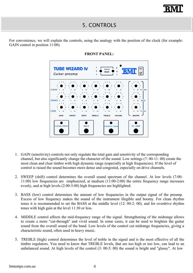### 5. CONTROLS

For convenience, we will explain the controls, using the analogy with the position of the clock (for example: GAIN control in position 11:00).



#### **FRONT PANEL:**

- 1. GAIN (sensitivity) controls not only regulate the total gain and sensitivity of the corresponding channel, but also significantly change the character of the sound. Low settings (7: 00-11: 00) create the most clean and clear timbre with high dynamic range (especially at high frequencies). If the level of control is raised the sound becomes more dense and congested, especially on drive channels.
- 2. SWEEP (shift) control determines the overall sound spectrum of the channel. At low levels (7:00- 11:00) low frequencies are emphasized, at medium (11:00-2:00) the entire frequency range increases evenly, and at high levels (2:00-5:00) high frequencies are highlighted.
- 3. BASS (low) control determines the amount of low frequencies in the output signal of the preamp. Excess of low frequency makes the sound of the instrument illegible and boomy. For clean rhythm tones it is recommended to set the BASS at the middle level (12: 00-2: 00), and for overdrive rhythm tones with high gain at the level 11:30 or less.
- 4. MIDDLE control affects the mid-frequency range of the signal. Strengthening of the midrange allows to create a more "cut-through" and vivid sound. In some cases, it can be used to brighten the guitar sound from the overall sound of the band. Low levels of the control cut midrange frequencies, giving a characteristic sound, often used in heavy music.
- 5. TREBLE (high) control determines the level of treble in the signal and is the most effective of all the timbre regulators. You need to know that TREBLE levels, that are too high or too low, can lead to an unbalanced sound. At high levels of the control (3: 00-5: 00) the sound is bright and "glassy". At low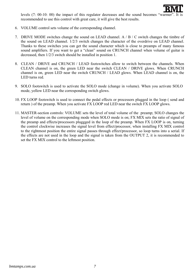

levels  $(7: 00-10: 00)$  the impact of this regulator decreases and the sound becomes "warmer". recommended to use this control with great care, it will give the best results.

- 6. VOLUME control sets volume of the corresponding channel.
- 7. DRIVE MODE switches change the sound on LEAD channel. A / B / C switch changes the timbre of the sound on LEAD channel. 1/2/3 switch changes the character of the overdrive on LEAD channel. Thanks to these switches you can get the sound character which is close to preamps of many famous sound amplifiers. If you want to get a "clean" sound on CRUNCH channel when volume of guitar is decreased, then 1/2/3 switch should be installed in position 1.
- 8. CLEAN / DRIVE and CRUNCH / LEAD footswitches allow to switch between the channels. When CLEAN channel is on, the green LED near the switch CLEAN / DRIVE glows. When CRUNCH channel is on, green LED near the switch CRUNCH / LEAD glows. When LEAD channel is on, the LED turns red.
- 9. SOLO footswitch is used to activate the SOLO mode (change in volume). When you activate SOLO mode, yellow LED near the corresponding switch glows.
- 10. FX LOOP footswitch is used to connect the pedal effects or processors plugged in the loop ( send and return ) of the preamp. When you activate FX LOOP red LED near the switch FX LOOP glows.
- 11. MASTER-section controls: VOLUME sets the level of total volume of the preamp; SOLO changes the level of volume on the corresponding mode when SOLO mode is on; FX MIX sets the ratio of signal of the preamp and effects/processors pluggged in the loop of the preamp. When FX LOOP is on, turning the control clockwise increases the signal level from effect/processor, when installing FX MIX control to the rightmost position the entire signal passes through effect/processor, so loop turns into a serial. If the effects are not used in the loop and the signal is taken from the OUTPUT 2, it is recommended to set the FX MIX control to the leftmost position.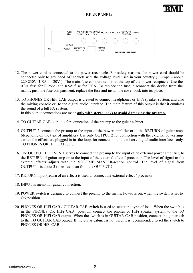



- 12. The power cord is connected to the power receptacle. For safety reasons, the power cord should be connected only to grounded AC sockets with the voltage level used in your country ( Europe – about 220-230V, USA – 120V ). The main fuse compartment is at the top of the power receptacle. Use the 0.3A fuse for Europe, and 0.5A fuse for USA. To replace the fuse, disconnect the device from the mains, push the fuse compartment, replace the fuse and install the cover back into its place.
- 13. TO PHONES OR HiFi CAB output is created to connect headphones or HiFi speaker system, and also the mixing console or to the digital audio interface. The main feature of this output is that it emulates the sound of a full PA system.

In this output connections are made **only with stereo jacks to avoid damaging the preamp.**

- 14. TO GUITAR CAB output is for connection of the preamp to the guitar cabinet.
- 15. OUTPUT 2 connects the preamp to the input of the power amplifier or to the RETURN of guitar amp (depending on the type of amplifier). Use only OUTPUT 2 for connection with the external power amp , when the effects are plugged in in the loop, for connection to the mixer / digital audio interface - only TO PHONES OR HiFi CAB output.
- 16. The OUTPUT 1 OR SEND serves to connect the preamp to the input of an external power amplifier, to the RETURN of guitar amp or to the input of the external effect / processor. The level of signal to the external effects adjusts with the VOLUME MASTER-section control. The level of signal from OUTPUT 1 is about 3 times less than from the OUTPUT 2.
- 17. RETURN input (return of an effect) is used to connect the external effect / processor.
- 18. INPUT is meant for guitar connection.
- 19. POWER switch is designed to connect the preamp to the mains. Power is on, when the switch is set to ON position.
- 20. PHONES OR HiFi CAB / GUITAR CAB switch is used to select the type of load. When the switch is in the PHONES OR HiFi CAB position, connect the phones or HiFi speaker system to the TO PHONES OR HiFi CAB output. When the switch is in GUITAR CAB position, connect the guitar cab to the TO GUITAR CAB output. If the guitar cabinet is not used, it is recommended to set the switch to PHONES OR HiFi CAB.